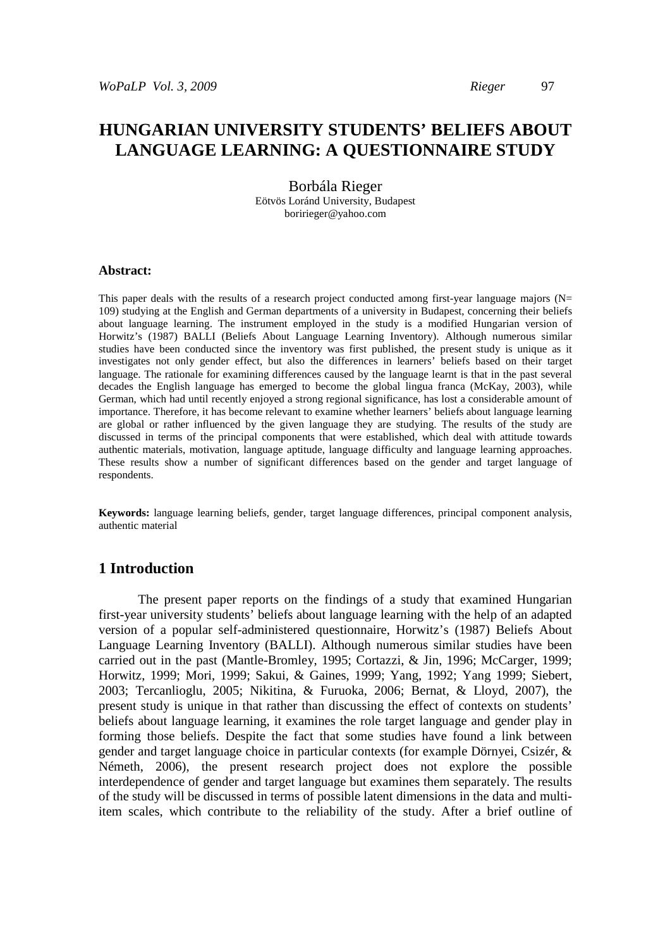# **HUNGARIAN UNIVERSITY STUDENTS' BELIEFS ABOUT LANGUAGE LEARNING: A QUESTIONNAIRE STUDY**

# Borbála Rieger

Eötvös Loránd University, Budapest boririeger@yahoo.com

#### **Abstract:**

This paper deals with the results of a research project conducted among first-year language majors ( $N=$ 109) studying at the English and German departments of a university in Budapest, concerning their beliefs about language learning. The instrument employed in the study is a modified Hungarian version of Horwitz's (1987) BALLI (Beliefs About Language Learning Inventory). Although numerous similar studies have been conducted since the inventory was first published, the present study is unique as it investigates not only gender effect, but also the differences in learners' beliefs based on their target language. The rationale for examining differences caused by the language learnt is that in the past several decades the English language has emerged to become the global lingua franca (McKay, 2003), while German, which had until recently enjoyed a strong regional significance, has lost a considerable amount of importance. Therefore, it has become relevant to examine whether learners' beliefs about language learning are global or rather influenced by the given language they are studying. The results of the study are discussed in terms of the principal components that were established, which deal with attitude towards authentic materials, motivation, language aptitude, language difficulty and language learning approaches. These results show a number of significant differences based on the gender and target language of respondents.

**Keywords:** language learning beliefs, gender, target language differences, principal component analysis, authentic material

## **1 Introduction**

The present paper reports on the findings of a study that examined Hungarian first-year university students' beliefs about language learning with the help of an adapted version of a popular self-administered questionnaire, Horwitz's (1987) Beliefs About Language Learning Inventory (BALLI). Although numerous similar studies have been carried out in the past (Mantle-Bromley, 1995; Cortazzi, & Jin, 1996; McCarger, 1999; Horwitz, 1999; Mori, 1999; Sakui, & Gaines, 1999; Yang, 1992; Yang 1999; Siebert, 2003; Tercanlioglu, 2005; Nikitina, & Furuoka, 2006; Bernat, & Lloyd, 2007), the present study is unique in that rather than discussing the effect of contexts on students' beliefs about language learning, it examines the role target language and gender play in forming those beliefs. Despite the fact that some studies have found a link between gender and target language choice in particular contexts (for example Dörnyei, Csizér, & Németh, 2006), the present research project does not explore the possible interdependence of gender and target language but examines them separately. The results of the study will be discussed in terms of possible latent dimensions in the data and multiitem scales, which contribute to the reliability of the study. After a brief outline of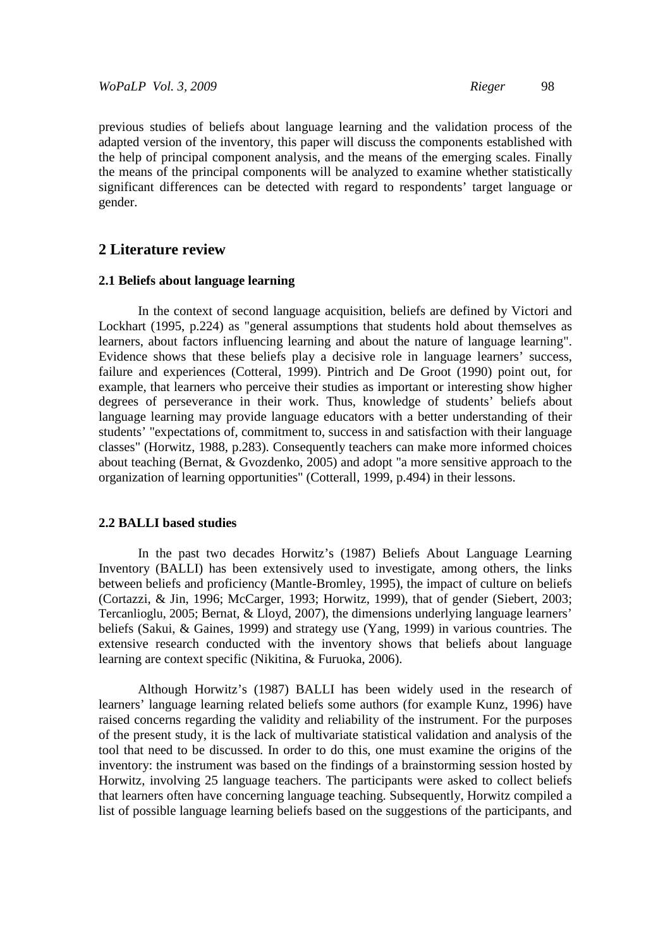previous studies of beliefs about language learning and the validation process of the adapted version of the inventory, this paper will discuss the components established with the help of principal component analysis, and the means of the emerging scales. Finally the means of the principal components will be analyzed to examine whether statistically significant differences can be detected with regard to respondents' target language or gender.

## **2 Literature review**

### **2.1 Beliefs about language learning**

In the context of second language acquisition, beliefs are defined by Victori and Lockhart (1995, p.224) as "general assumptions that students hold about themselves as learners, about factors influencing learning and about the nature of language learning". Evidence shows that these beliefs play a decisive role in language learners' success, failure and experiences (Cotteral, 1999). Pintrich and De Groot (1990) point out, for example, that learners who perceive their studies as important or interesting show higher degrees of perseverance in their work. Thus, knowledge of students' beliefs about language learning may provide language educators with a better understanding of their students' "expectations of, commitment to, success in and satisfaction with their language classes" (Horwitz, 1988, p.283). Consequently teachers can make more informed choices about teaching (Bernat,  $\&$  Gvozdenko, 2005) and adopt "a more sensitive approach to the organization of learning opportunities" (Cotterall, 1999, p.494) in their lessons.

### **2.2 BALLI based studies**

In the past two decades Horwitz's (1987) Beliefs About Language Learning Inventory (BALLI) has been extensively used to investigate, among others, the links between beliefs and proficiency (Mantle-Bromley, 1995), the impact of culture on beliefs (Cortazzi, & Jin, 1996; McCarger, 1993; Horwitz, 1999), that of gender (Siebert, 2003; Tercanlioglu, 2005; Bernat, & Lloyd, 2007), the dimensions underlying language learners' beliefs (Sakui, & Gaines, 1999) and strategy use (Yang, 1999) in various countries. The extensive research conducted with the inventory shows that beliefs about language learning are context specific (Nikitina, & Furuoka, 2006).

Although Horwitz's (1987) BALLI has been widely used in the research of learners' language learning related beliefs some authors (for example Kunz, 1996) have raised concerns regarding the validity and reliability of the instrument. For the purposes of the present study, it is the lack of multivariate statistical validation and analysis of the tool that need to be discussed. In order to do this, one must examine the origins of the inventory: the instrument was based on the findings of a brainstorming session hosted by Horwitz, involving 25 language teachers. The participants were asked to collect beliefs that learners often have concerning language teaching. Subsequently, Horwitz compiled a list of possible language learning beliefs based on the suggestions of the participants, and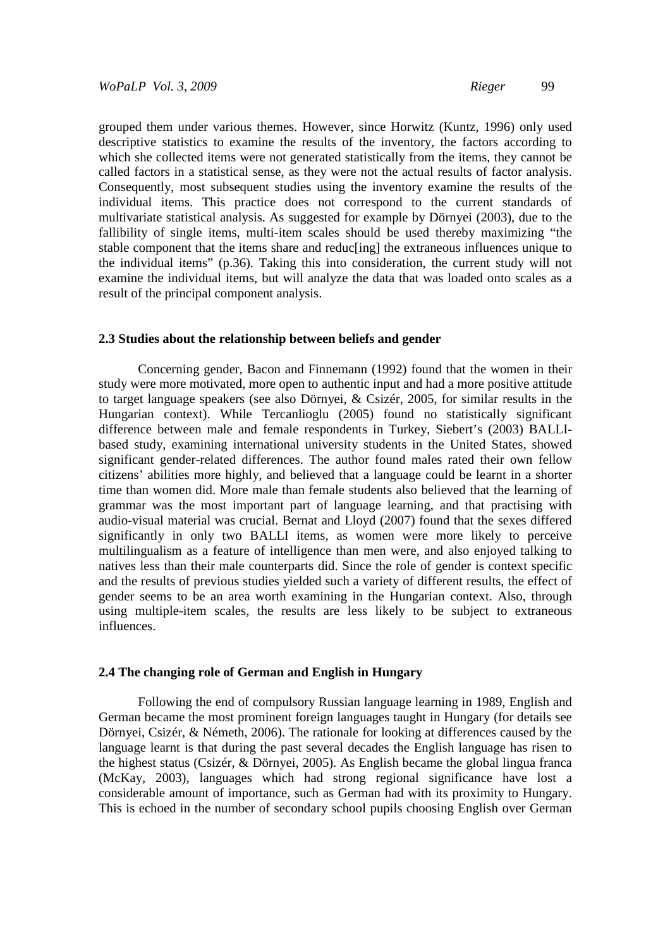grouped them under various themes. However, since Horwitz (Kuntz, 1996) only used descriptive statistics to examine the results of the inventory, the factors according to which she collected items were not generated statistically from the items, they cannot be called factors in a statistical sense, as they were not the actual results of factor analysis. Consequently, most subsequent studies using the inventory examine the results of the individual items. This practice does not correspond to the current standards of multivariate statistical analysis. As suggested for example by Dörnyei (2003), due to the fallibility of single items, multi-item scales should be used thereby maximizing "the stable component that the items share and reduc[ing] the extraneous influences unique to the individual items" (p.36). Taking this into consideration, the current study will not examine the individual items, but will analyze the data that was loaded onto scales as a result of the principal component analysis.

#### **2.3 Studies about the relationship between beliefs and gender**

Concerning gender, Bacon and Finnemann (1992) found that the women in their study were more motivated, more open to authentic input and had a more positive attitude to target language speakers (see also Dörnyei, & Csizér, 2005, for similar results in the Hungarian context). While Tercanlioglu (2005) found no statistically significant difference between male and female respondents in Turkey, Siebert's (2003) BALLIbased study, examining international university students in the United States, showed significant gender-related differences. The author found males rated their own fellow citizens' abilities more highly, and believed that a language could be learnt in a shorter time than women did. More male than female students also believed that the learning of grammar was the most important part of language learning, and that practising with audio-visual material was crucial. Bernat and Lloyd (2007) found that the sexes differed significantly in only two BALLI items, as women were more likely to perceive multilingualism as a feature of intelligence than men were, and also enjoyed talking to natives less than their male counterparts did. Since the role of gender is context specific and the results of previous studies yielded such a variety of different results, the effect of gender seems to be an area worth examining in the Hungarian context. Also, through using multiple-item scales, the results are less likely to be subject to extraneous influences.

#### **2.4 The changing role of German and English in Hungary**

 Following the end of compulsory Russian language learning in 1989, English and German became the most prominent foreign languages taught in Hungary (for details see Dörnyei, Csizér, & Németh, 2006). The rationale for looking at differences caused by the language learnt is that during the past several decades the English language has risen to the highest status (Csizér, & Dörnyei, 2005). As English became the global lingua franca (McKay, 2003), languages which had strong regional significance have lost a considerable amount of importance, such as German had with its proximity to Hungary. This is echoed in the number of secondary school pupils choosing English over German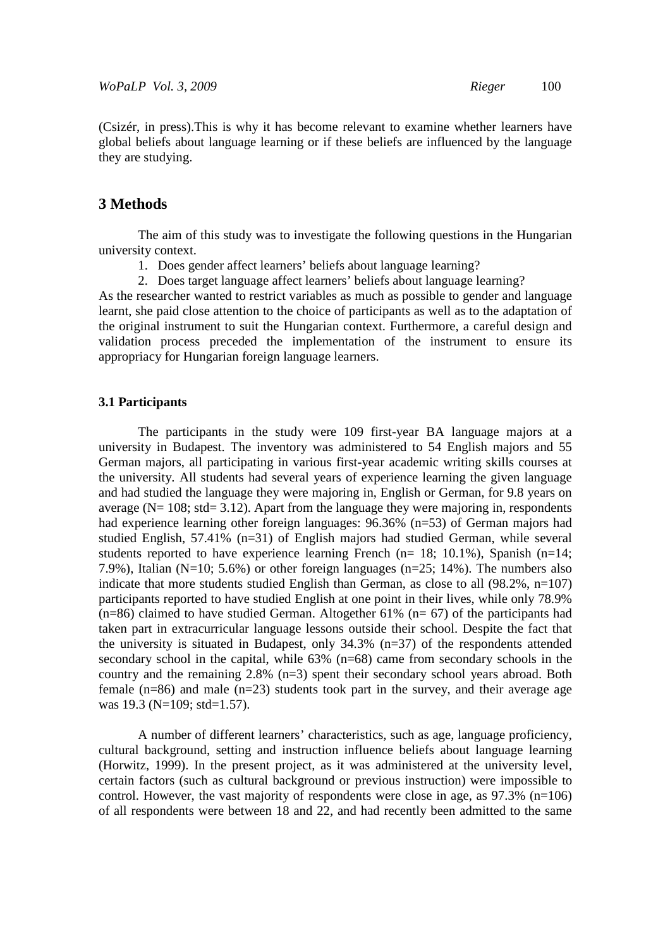(Csizér, in press).This is why it has become relevant to examine whether learners have global beliefs about language learning or if these beliefs are influenced by the language they are studying.

## **3 Methods**

The aim of this study was to investigate the following questions in the Hungarian university context.

- 1. Does gender affect learners' beliefs about language learning?
- 2. Does target language affect learners' beliefs about language learning?

As the researcher wanted to restrict variables as much as possible to gender and language learnt, she paid close attention to the choice of participants as well as to the adaptation of the original instrument to suit the Hungarian context. Furthermore, a careful design and validation process preceded the implementation of the instrument to ensure its appropriacy for Hungarian foreign language learners.

#### **3.1 Participants**

The participants in the study were 109 first-year BA language majors at a university in Budapest. The inventory was administered to 54 English majors and 55 German majors, all participating in various first-year academic writing skills courses at the university. All students had several years of experience learning the given language and had studied the language they were majoring in, English or German, for 9.8 years on average ( $N= 108$ ; std= 3.12). Apart from the language they were majoring in, respondents had experience learning other foreign languages: 96.36% (n=53) of German majors had studied English, 57.41% (n=31) of English majors had studied German, while several students reported to have experience learning French (n= 18; 10.1%), Spanish (n=14; 7.9%), Italian (N=10; 5.6%) or other foreign languages (n=25; 14%). The numbers also indicate that more students studied English than German, as close to all (98.2%, n=107) participants reported to have studied English at one point in their lives, while only 78.9%  $(n=86)$  claimed to have studied German. Altogether 61%  $(n=67)$  of the participants had taken part in extracurricular language lessons outside their school. Despite the fact that the university is situated in Budapest, only 34.3% (n=37) of the respondents attended secondary school in the capital, while 63% (n=68) came from secondary schools in the country and the remaining  $2.8\%$  (n=3) spent their secondary school years abroad. Both female (n=86) and male (n=23) students took part in the survey, and their average age was 19.3 (N=109; std=1.57).

A number of different learners' characteristics, such as age, language proficiency, cultural background, setting and instruction influence beliefs about language learning (Horwitz, 1999). In the present project, as it was administered at the university level, certain factors (such as cultural background or previous instruction) were impossible to control. However, the vast majority of respondents were close in age, as  $97.3\%$  (n=106) of all respondents were between 18 and 22, and had recently been admitted to the same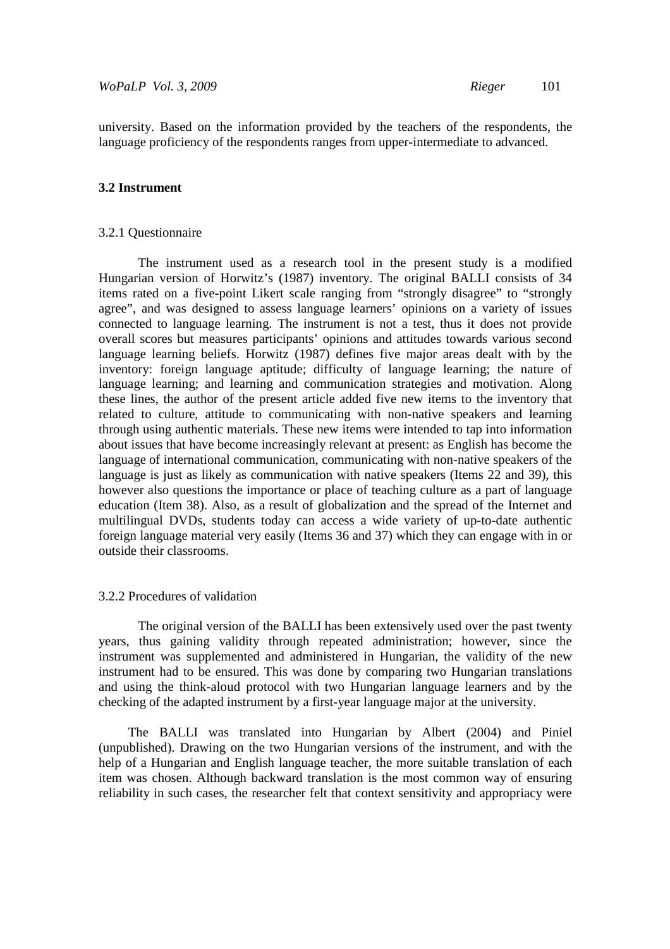university. Based on the information provided by the teachers of the respondents, the language proficiency of the respondents ranges from upper-intermediate to advanced.

#### **3.2 Instrument**

#### 3.2.1 Questionnaire

The instrument used as a research tool in the present study is a modified Hungarian version of Horwitz's (1987) inventory. The original BALLI consists of 34 items rated on a five-point Likert scale ranging from "strongly disagree" to "strongly agree", and was designed to assess language learners' opinions on a variety of issues connected to language learning. The instrument is not a test, thus it does not provide overall scores but measures participants' opinions and attitudes towards various second language learning beliefs. Horwitz (1987) defines five major areas dealt with by the inventory: foreign language aptitude; difficulty of language learning; the nature of language learning; and learning and communication strategies and motivation. Along these lines, the author of the present article added five new items to the inventory that related to culture, attitude to communicating with non-native speakers and learning through using authentic materials. These new items were intended to tap into information about issues that have become increasingly relevant at present: as English has become the language of international communication, communicating with non-native speakers of the language is just as likely as communication with native speakers (Items 22 and 39), this however also questions the importance or place of teaching culture as a part of language education (Item 38). Also, as a result of globalization and the spread of the Internet and multilingual DVDs, students today can access a wide variety of up-to-date authentic foreign language material very easily (Items 36 and 37) which they can engage with in or outside their classrooms.

#### 3.2.2 Procedures of validation

The original version of the BALLI has been extensively used over the past twenty years, thus gaining validity through repeated administration; however, since the instrument was supplemented and administered in Hungarian, the validity of the new instrument had to be ensured. This was done by comparing two Hungarian translations and using the think-aloud protocol with two Hungarian language learners and by the checking of the adapted instrument by a first-year language major at the university.

The BALLI was translated into Hungarian by Albert (2004) and Piniel (unpublished). Drawing on the two Hungarian versions of the instrument, and with the help of a Hungarian and English language teacher, the more suitable translation of each item was chosen. Although backward translation is the most common way of ensuring reliability in such cases, the researcher felt that context sensitivity and appropriacy were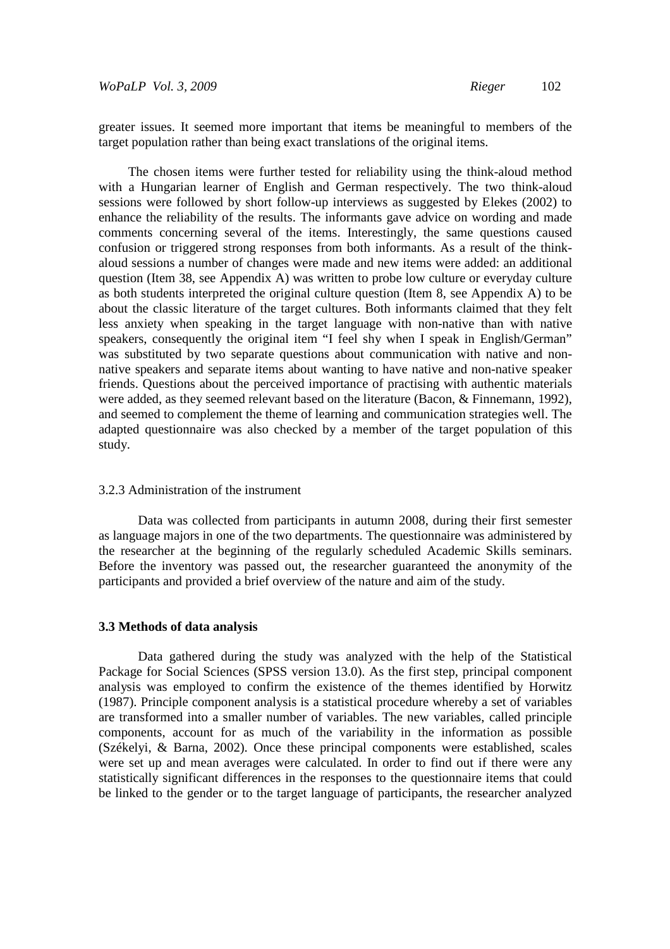greater issues. It seemed more important that items be meaningful to members of the target population rather than being exact translations of the original items.

The chosen items were further tested for reliability using the think-aloud method with a Hungarian learner of English and German respectively. The two think-aloud sessions were followed by short follow-up interviews as suggested by Elekes (2002) to enhance the reliability of the results. The informants gave advice on wording and made comments concerning several of the items. Interestingly, the same questions caused confusion or triggered strong responses from both informants. As a result of the thinkaloud sessions a number of changes were made and new items were added: an additional question (Item 38, see Appendix A) was written to probe low culture or everyday culture as both students interpreted the original culture question (Item 8, see Appendix A) to be about the classic literature of the target cultures. Both informants claimed that they felt less anxiety when speaking in the target language with non-native than with native speakers, consequently the original item "I feel shy when I speak in English/German" was substituted by two separate questions about communication with native and nonnative speakers and separate items about wanting to have native and non-native speaker friends. Questions about the perceived importance of practising with authentic materials were added, as they seemed relevant based on the literature (Bacon, & Finnemann, 1992), and seemed to complement the theme of learning and communication strategies well. The adapted questionnaire was also checked by a member of the target population of this study.

#### 3.2.3 Administration of the instrument

Data was collected from participants in autumn 2008, during their first semester as language majors in one of the two departments. The questionnaire was administered by the researcher at the beginning of the regularly scheduled Academic Skills seminars. Before the inventory was passed out, the researcher guaranteed the anonymity of the participants and provided a brief overview of the nature and aim of the study.

#### **3.3 Methods of data analysis**

Data gathered during the study was analyzed with the help of the Statistical Package for Social Sciences (SPSS version 13.0). As the first step, principal component analysis was employed to confirm the existence of the themes identified by Horwitz (1987). Principle component analysis is a statistical procedure whereby a set of variables are transformed into a smaller number of variables. The new variables, called principle components, account for as much of the variability in the information as possible (Székelyi, & Barna, 2002). Once these principal components were established, scales were set up and mean averages were calculated. In order to find out if there were any statistically significant differences in the responses to the questionnaire items that could be linked to the gender or to the target language of participants, the researcher analyzed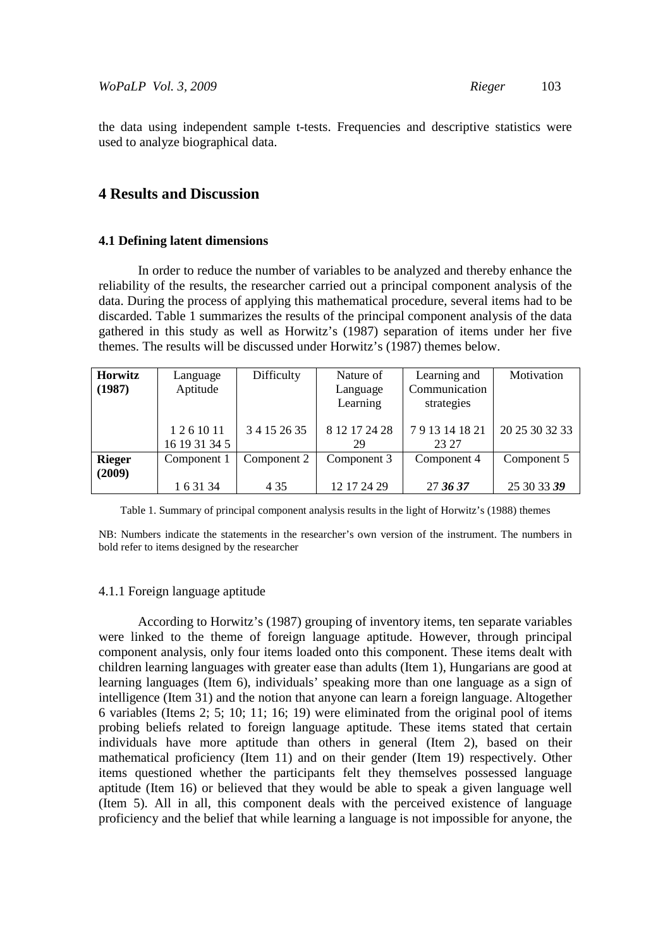the data using independent sample t-tests. Frequencies and descriptive statistics were used to analyze biographical data.

## **4 Results and Discussion**

#### **4.1 Defining latent dimensions**

In order to reduce the number of variables to be analyzed and thereby enhance the reliability of the results, the researcher carried out a principal component analysis of the data. During the process of applying this mathematical procedure, several items had to be discarded. Table 1 summarizes the results of the principal component analysis of the data gathered in this study as well as Horwitz's (1987) separation of items under her five themes. The results will be discussed under Horwitz's (1987) themes below.

| Horwitz       | Language      | Difficulty   | Nature of     | Learning and  | Motivation     |
|---------------|---------------|--------------|---------------|---------------|----------------|
| (1987)        | Aptitude      |              | Language      | Communication |                |
|               |               |              | Learning      | strategies    |                |
|               |               |              |               |               |                |
|               | 1261011       | 3 4 15 26 35 | 8 12 17 24 28 | 7913141821    | 20 25 30 32 33 |
|               | 16 19 31 34 5 |              | 29            | 23 27         |                |
| <b>Rieger</b> | Component 1   | Component 2  | Component 3   | Component 4   | Component 5    |
| (2009)        |               |              |               |               |                |
|               | 1 6 3 1 3 4   | 4 3 5        | 12 17 24 29   | 27 36 37      | 25 30 33 39    |

Table 1. Summary of principal component analysis results in the light of Horwitz's (1988) themes

NB: Numbers indicate the statements in the researcher's own version of the instrument. The numbers in bold refer to items designed by the researcher

#### 4.1.1 Foreign language aptitude

According to Horwitz's (1987) grouping of inventory items, ten separate variables were linked to the theme of foreign language aptitude. However, through principal component analysis, only four items loaded onto this component. These items dealt with children learning languages with greater ease than adults (Item 1), Hungarians are good at learning languages (Item 6), individuals' speaking more than one language as a sign of intelligence (Item 31) and the notion that anyone can learn a foreign language. Altogether 6 variables (Items 2; 5; 10; 11; 16; 19) were eliminated from the original pool of items probing beliefs related to foreign language aptitude. These items stated that certain individuals have more aptitude than others in general (Item 2), based on their mathematical proficiency (Item 11) and on their gender (Item 19) respectively. Other items questioned whether the participants felt they themselves possessed language aptitude (Item 16) or believed that they would be able to speak a given language well (Item 5). All in all, this component deals with the perceived existence of language proficiency and the belief that while learning a language is not impossible for anyone, the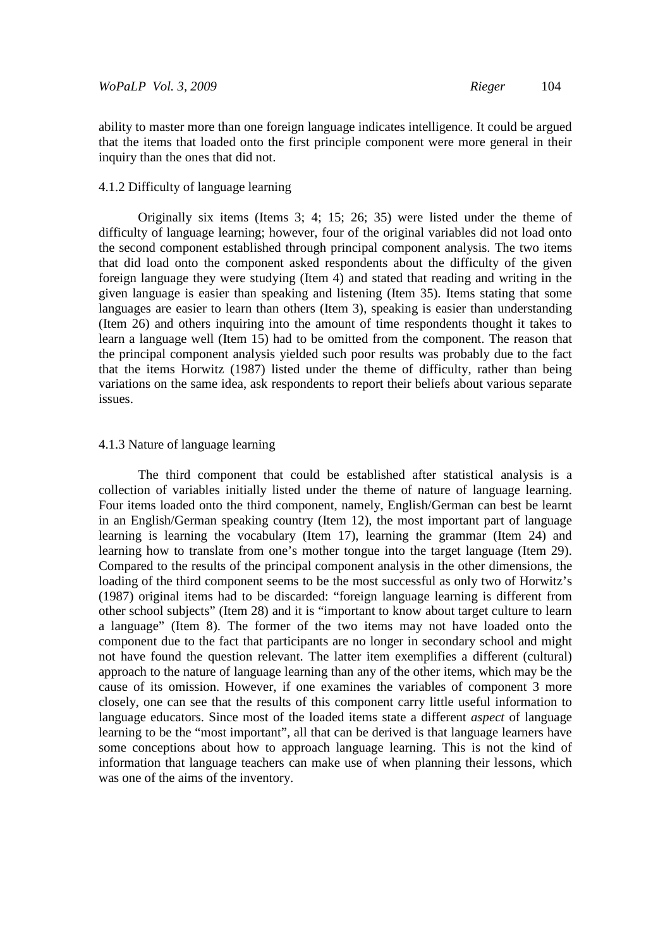ability to master more than one foreign language indicates intelligence. It could be argued that the items that loaded onto the first principle component were more general in their inquiry than the ones that did not.

#### 4.1.2 Difficulty of language learning

Originally six items (Items 3; 4; 15; 26; 35) were listed under the theme of difficulty of language learning; however, four of the original variables did not load onto the second component established through principal component analysis. The two items that did load onto the component asked respondents about the difficulty of the given foreign language they were studying (Item 4) and stated that reading and writing in the given language is easier than speaking and listening (Item 35). Items stating that some languages are easier to learn than others (Item 3), speaking is easier than understanding (Item 26) and others inquiring into the amount of time respondents thought it takes to learn a language well (Item 15) had to be omitted from the component. The reason that the principal component analysis yielded such poor results was probably due to the fact that the items Horwitz (1987) listed under the theme of difficulty, rather than being variations on the same idea, ask respondents to report their beliefs about various separate issues.

#### 4.1.3 Nature of language learning

The third component that could be established after statistical analysis is a collection of variables initially listed under the theme of nature of language learning. Four items loaded onto the third component, namely, English/German can best be learnt in an English/German speaking country (Item 12), the most important part of language learning is learning the vocabulary (Item 17), learning the grammar (Item 24) and learning how to translate from one's mother tongue into the target language (Item 29). Compared to the results of the principal component analysis in the other dimensions, the loading of the third component seems to be the most successful as only two of Horwitz's (1987) original items had to be discarded: "foreign language learning is different from other school subjects" (Item 28) and it is "important to know about target culture to learn a language" (Item 8). The former of the two items may not have loaded onto the component due to the fact that participants are no longer in secondary school and might not have found the question relevant. The latter item exemplifies a different (cultural) approach to the nature of language learning than any of the other items, which may be the cause of its omission. However, if one examines the variables of component 3 more closely, one can see that the results of this component carry little useful information to language educators. Since most of the loaded items state a different *aspect* of language learning to be the "most important", all that can be derived is that language learners have some conceptions about how to approach language learning. This is not the kind of information that language teachers can make use of when planning their lessons, which was one of the aims of the inventory.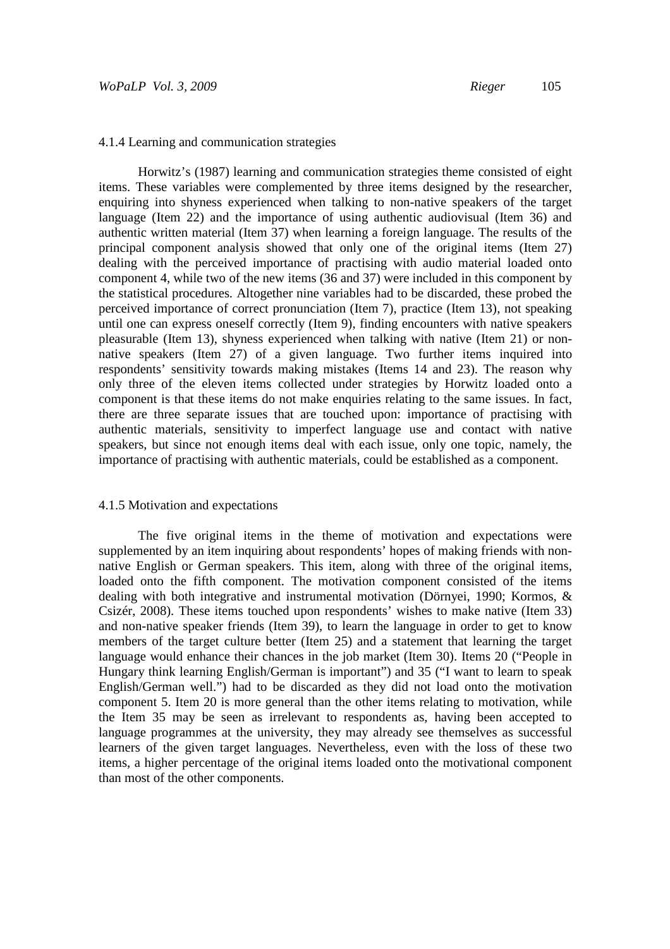#### 4.1.4 Learning and communication strategies

Horwitz's (1987) learning and communication strategies theme consisted of eight items. These variables were complemented by three items designed by the researcher, enquiring into shyness experienced when talking to non-native speakers of the target language (Item 22) and the importance of using authentic audiovisual (Item 36) and authentic written material (Item 37) when learning a foreign language. The results of the principal component analysis showed that only one of the original items (Item 27) dealing with the perceived importance of practising with audio material loaded onto component 4, while two of the new items (36 and 37) were included in this component by the statistical procedures. Altogether nine variables had to be discarded, these probed the perceived importance of correct pronunciation (Item 7), practice (Item 13), not speaking until one can express oneself correctly (Item 9), finding encounters with native speakers pleasurable (Item 13), shyness experienced when talking with native (Item 21) or nonnative speakers (Item 27) of a given language. Two further items inquired into respondents' sensitivity towards making mistakes (Items 14 and 23). The reason why only three of the eleven items collected under strategies by Horwitz loaded onto a component is that these items do not make enquiries relating to the same issues. In fact, there are three separate issues that are touched upon: importance of practising with authentic materials, sensitivity to imperfect language use and contact with native speakers, but since not enough items deal with each issue, only one topic, namely, the importance of practising with authentic materials, could be established as a component.

#### 4.1.5 Motivation and expectations

The five original items in the theme of motivation and expectations were supplemented by an item inquiring about respondents' hopes of making friends with nonnative English or German speakers. This item, along with three of the original items, loaded onto the fifth component. The motivation component consisted of the items dealing with both integrative and instrumental motivation (Dörnyei, 1990; Kormos, & Csizér, 2008). These items touched upon respondents' wishes to make native (Item 33) and non-native speaker friends (Item 39), to learn the language in order to get to know members of the target culture better (Item 25) and a statement that learning the target language would enhance their chances in the job market (Item 30). Items 20 ("People in Hungary think learning English/German is important") and 35 ("I want to learn to speak English/German well.") had to be discarded as they did not load onto the motivation component 5. Item 20 is more general than the other items relating to motivation, while the Item 35 may be seen as irrelevant to respondents as, having been accepted to language programmes at the university, they may already see themselves as successful learners of the given target languages. Nevertheless, even with the loss of these two items, a higher percentage of the original items loaded onto the motivational component than most of the other components.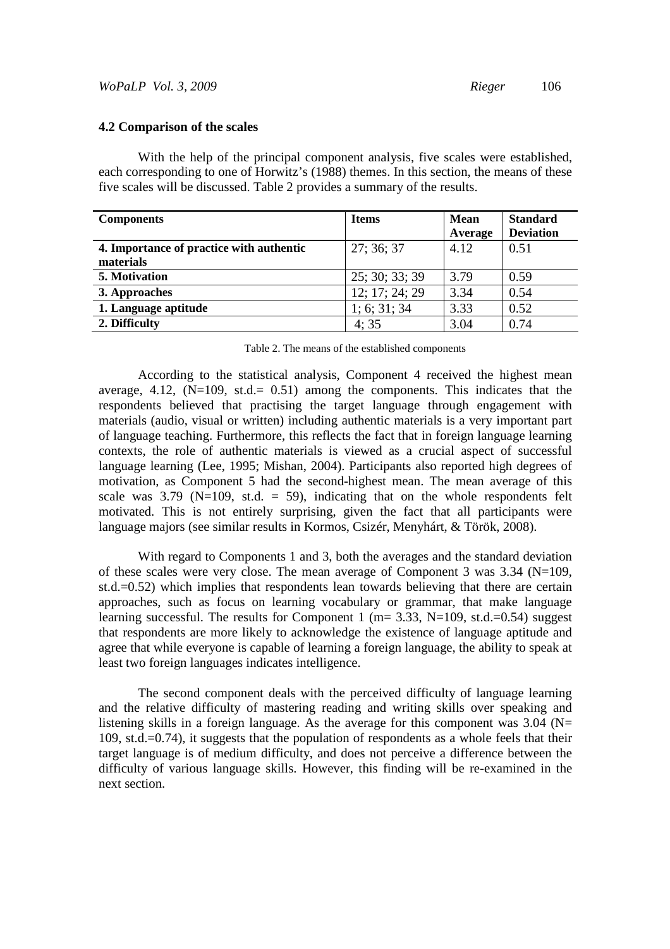#### **4.2 Comparison of the scales**

With the help of the principal component analysis, five scales were established, each corresponding to one of Horwitz's (1988) themes. In this section, the means of these five scales will be discussed. Table 2 provides a summary of the results.

| <b>Components</b>                        | <b>Items</b>   | Mean<br>Average | <b>Standard</b><br><b>Deviation</b> |
|------------------------------------------|----------------|-----------------|-------------------------------------|
| 4. Importance of practice with authentic | 27:36:37       | 4.12            | 0.51                                |
| materials                                |                |                 |                                     |
| 5. Motivation                            | 25; 30; 33; 39 | 3.79            | 0.59                                |
| 3. Approaches                            | 12; 17; 24; 29 | 3.34            | 0.54                                |
| 1. Language aptitude                     | 1; 6; 31; 34   | 3.33            | 0.52                                |
| 2. Difficulty                            | 4:35           | 3.04            | 0.74                                |

| Table 2. The means of the established components |  |  |
|--------------------------------------------------|--|--|
|--------------------------------------------------|--|--|

According to the statistical analysis, Component 4 received the highest mean average, 4.12,  $(N=109, \text{ st.d.} = 0.51)$  among the components. This indicates that the respondents believed that practising the target language through engagement with materials (audio, visual or written) including authentic materials is a very important part of language teaching. Furthermore, this reflects the fact that in foreign language learning contexts, the role of authentic materials is viewed as a crucial aspect of successful language learning (Lee, 1995; Mishan, 2004). Participants also reported high degrees of motivation, as Component 5 had the second-highest mean. The mean average of this scale was  $3.79$  (N=109, st.d. = 59), indicating that on the whole respondents felt motivated. This is not entirely surprising, given the fact that all participants were language majors (see similar results in Kormos, Csizér, Menyhárt, & Török, 2008).

With regard to Components 1 and 3, both the averages and the standard deviation of these scales were very close. The mean average of Component 3 was 3.34 (N=109, st.d.=0.52) which implies that respondents lean towards believing that there are certain approaches, such as focus on learning vocabulary or grammar, that make language learning successful. The results for Component 1 ( $m=3.33$ , N=109, st.d.=0.54) suggest that respondents are more likely to acknowledge the existence of language aptitude and agree that while everyone is capable of learning a foreign language, the ability to speak at least two foreign languages indicates intelligence.

The second component deals with the perceived difficulty of language learning and the relative difficulty of mastering reading and writing skills over speaking and listening skills in a foreign language. As the average for this component was  $3.04$  (N= 109, st.d.=0.74), it suggests that the population of respondents as a whole feels that their target language is of medium difficulty, and does not perceive a difference between the difficulty of various language skills. However, this finding will be re-examined in the next section.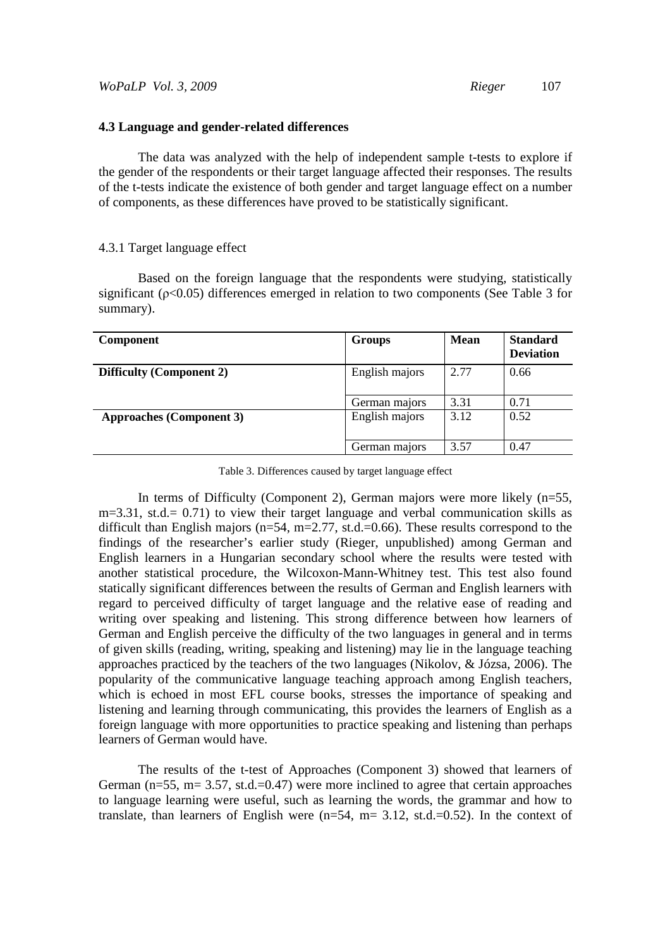### **4.3 Language and gender-related differences**

The data was analyzed with the help of independent sample t-tests to explore if the gender of the respondents or their target language affected their responses. The results of the t-tests indicate the existence of both gender and target language effect on a number of components, as these differences have proved to be statistically significant.

#### 4.3.1 Target language effect

Based on the foreign language that the respondents were studying, statistically significant (ρ<0.05) differences emerged in relation to two components (See Table 3 for summary).

| <b>Component</b>                | Groups         | <b>Mean</b> | <b>Standard</b><br><b>Deviation</b> |
|---------------------------------|----------------|-------------|-------------------------------------|
| <b>Difficulty (Component 2)</b> | English majors | 2.77        | 0.66                                |
|                                 | German majors  | 3.31        | 0.71                                |
| <b>Approaches (Component 3)</b> | English majors | 3.12        | 0.52                                |
|                                 | German majors  | 3.57        | 0.47                                |

Table 3. Differences caused by target language effect

In terms of Difficulty (Component 2), German majors were more likely (n=55, m=3.31, st.d.= 0.71) to view their target language and verbal communication skills as difficult than English majors ( $n=54$ ,  $m=2.77$ , st.d.=0.66). These results correspond to the findings of the researcher's earlier study (Rieger, unpublished) among German and English learners in a Hungarian secondary school where the results were tested with another statistical procedure, the Wilcoxon-Mann-Whitney test. This test also found statically significant differences between the results of German and English learners with regard to perceived difficulty of target language and the relative ease of reading and writing over speaking and listening. This strong difference between how learners of German and English perceive the difficulty of the two languages in general and in terms of given skills (reading, writing, speaking and listening) may lie in the language teaching approaches practiced by the teachers of the two languages (Nikolov, & Józsa, 2006). The popularity of the communicative language teaching approach among English teachers, which is echoed in most EFL course books, stresses the importance of speaking and listening and learning through communicating, this provides the learners of English as a foreign language with more opportunities to practice speaking and listening than perhaps learners of German would have.

The results of the t-test of Approaches (Component 3) showed that learners of German ( $n=55$ ,  $m=3.57$ , st.d.=0.47) were more inclined to agree that certain approaches to language learning were useful, such as learning the words, the grammar and how to translate, than learners of English were  $(n=54, m=3.12, st.d.=0.52)$ . In the context of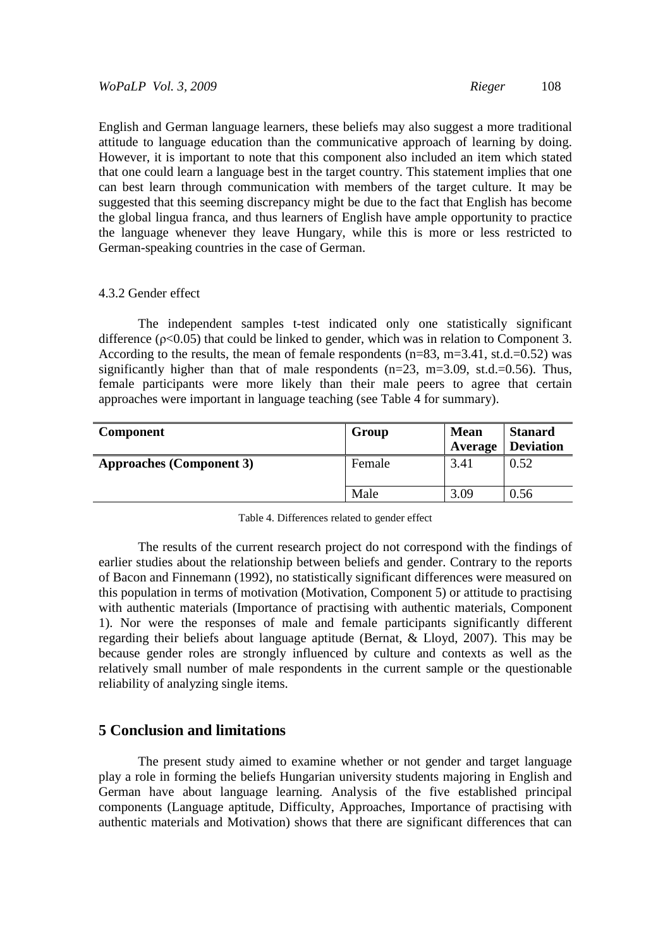English and German language learners, these beliefs may also suggest a more traditional attitude to language education than the communicative approach of learning by doing. However, it is important to note that this component also included an item which stated that one could learn a language best in the target country. This statement implies that one can best learn through communication with members of the target culture. It may be suggested that this seeming discrepancy might be due to the fact that English has become the global lingua franca, and thus learners of English have ample opportunity to practice the language whenever they leave Hungary, while this is more or less restricted to German-speaking countries in the case of German.

#### 4.3.2 Gender effect

 The independent samples t-test indicated only one statistically significant difference ( $p<0.05$ ) that could be linked to gender, which was in relation to Component 3. According to the results, the mean of female respondents  $(n=83, m=3.41, st.d.=0.52)$  was significantly higher than that of male respondents  $(n=23, m=3.09, st.d.=0.56)$ . Thus, female participants were more likely than their male peers to agree that certain approaches were important in language teaching (see Table 4 for summary).

| Component                       | Group  | <b>Mean</b><br>Average | <b>Stanard</b><br><b>Deviation</b> |
|---------------------------------|--------|------------------------|------------------------------------|
| <b>Approaches (Component 3)</b> | Female | 3.41                   | 0.52                               |
|                                 | Male   | 3.09                   | 0.56                               |

| Table 4. Differences related to gender effect |  |  |
|-----------------------------------------------|--|--|
|-----------------------------------------------|--|--|

 The results of the current research project do not correspond with the findings of earlier studies about the relationship between beliefs and gender. Contrary to the reports of Bacon and Finnemann (1992), no statistically significant differences were measured on this population in terms of motivation (Motivation, Component 5) or attitude to practising with authentic materials (Importance of practising with authentic materials, Component 1). Nor were the responses of male and female participants significantly different regarding their beliefs about language aptitude (Bernat, & Lloyd, 2007). This may be because gender roles are strongly influenced by culture and contexts as well as the relatively small number of male respondents in the current sample or the questionable reliability of analyzing single items.

## **5 Conclusion and limitations**

The present study aimed to examine whether or not gender and target language play a role in forming the beliefs Hungarian university students majoring in English and German have about language learning. Analysis of the five established principal components (Language aptitude, Difficulty, Approaches, Importance of practising with authentic materials and Motivation) shows that there are significant differences that can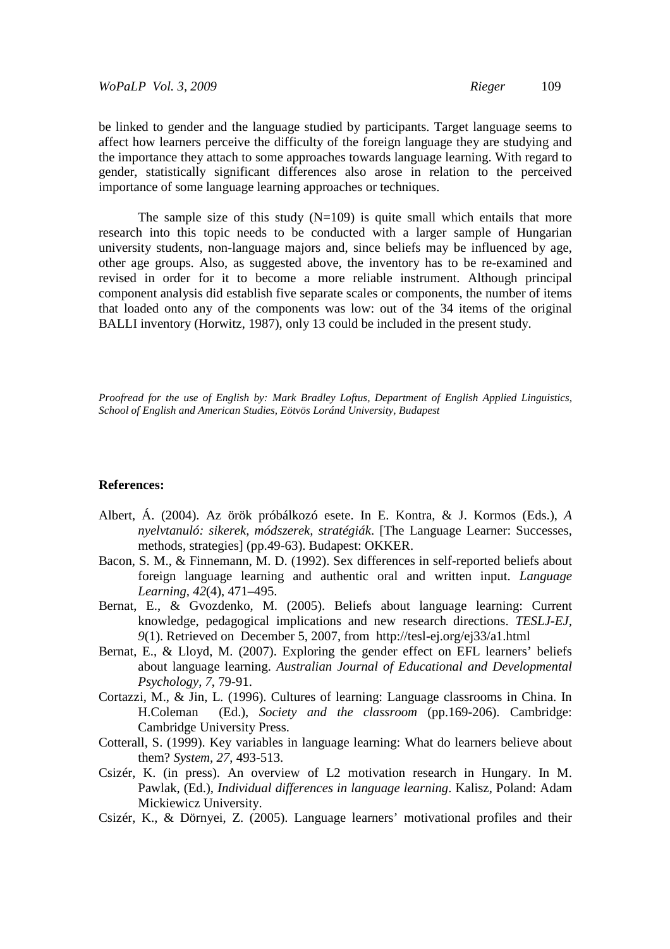*WoPaLP Vol. 3, 2009 Rieger* 109

be linked to gender and the language studied by participants. Target language seems to affect how learners perceive the difficulty of the foreign language they are studying and the importance they attach to some approaches towards language learning. With regard to gender, statistically significant differences also arose in relation to the perceived importance of some language learning approaches or techniques.

The sample size of this study  $(N=109)$  is quite small which entails that more research into this topic needs to be conducted with a larger sample of Hungarian university students, non-language majors and, since beliefs may be influenced by age, other age groups. Also, as suggested above, the inventory has to be re-examined and revised in order for it to become a more reliable instrument. Although principal component analysis did establish five separate scales or components, the number of items that loaded onto any of the components was low: out of the 34 items of the original BALLI inventory (Horwitz, 1987), only 13 could be included in the present study.

*Proofread for the use of English by: Mark Bradley Loftus, Department of English Applied Linguistics, School of English and American Studies, Eötvös Loránd University, Budapest*

### **References:**

- Albert, Á. (2004). Az örök próbálkozó esete. In E. Kontra, & J. Kormos (Eds.), *A nyelvtanuló: sikerek, módszerek, stratégiák*. [The Language Learner: Successes, methods, strategies] (pp.49-63). Budapest: OKKER.
- Bacon, S. M., & Finnemann, M. D. (1992). Sex differences in self-reported beliefs about foreign language learning and authentic oral and written input. *Language Learning, 42*(4), 471–495.
- Bernat, E., & Gvozdenko, M. (2005). Beliefs about language learning: Current knowledge, pedagogical implications and new research directions. *TESLJ-EJ, 9*(1). Retrieved on December 5, 2007, from http://tesl-ej.org/ej33/a1.html
- Bernat, E., & Lloyd, M. (2007). Exploring the gender effect on EFL learners' beliefs about language learning. *Australian Journal of Educational and Developmental Psychology, 7*, 79-91.
- Cortazzi, M., & Jin, L. (1996). Cultures of learning: Language classrooms in China. In H.Coleman (Ed.), *Society and the classroom* (pp.169-206). Cambridge: Cambridge University Press.
- Cotterall, S. (1999). Key variables in language learning: What do learners believe about them? *System, 27*, 493-513.
- Csizér, K. (in press). An overview of L2 motivation research in Hungary. In M. Pawlak, (Ed.), *Individual differences in language learning*. Kalisz, Poland: Adam Mickiewicz University.
- Csizér, K., & Dörnyei, Z. (2005). Language learners' motivational profiles and their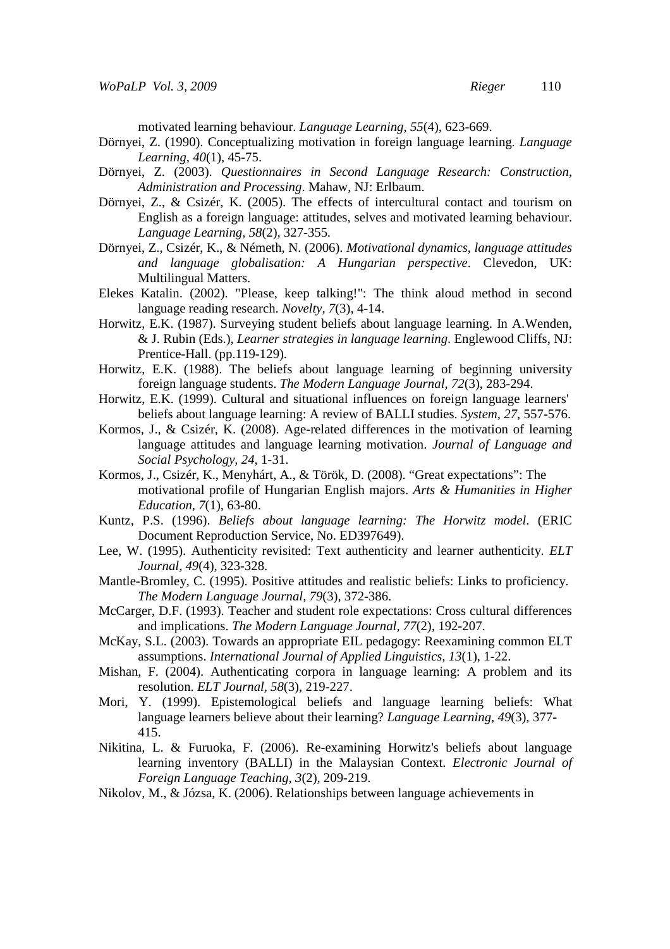motivated learning behaviour. *Language Learning, 55*(4)*,* 623-669.

- Dörnyei, Z. (1990). Conceptualizing motivation in foreign language learning. *Language Learning, 40*(1), 45-75.
- Dörnyei, Z. (2003). *Questionnaires in Second Language Research: Construction, Administration and Processing*. Mahaw, NJ: Erlbaum.
- Dörnyei, Z., & Csizér, K. (2005). The effects of intercultural contact and tourism on English as a foreign language: attitudes, selves and motivated learning behaviour. *Language Learning, 58*(2)*,* 327-355*.*
- Dörnyei, Z., Csizér, K., & Németh, N. (2006). *Motivational dynamics, language attitudes and language globalisation: A Hungarian perspective*. Clevedon, UK: Multilingual Matters.
- Elekes Katalin. (2002). "Please, keep talking!": The think aloud method in second language reading research. *Novelty, 7*(3), 4-14.
- Horwitz, E.K. (1987). Surveying student beliefs about language learning. In A.Wenden, & J. Rubin (Eds.), *Learner strategies in language learning*. Englewood Cliffs, NJ: Prentice-Hall. (pp.119-129).
- Horwitz, E.K. (1988). The beliefs about language learning of beginning university foreign language students. *The Modern Language Journal, 72*(3), 283-294.
- Horwitz, E.K. (1999). Cultural and situational influences on foreign language learners' beliefs about language learning: A review of BALLI studies. *System, 27*, 557-576.
- Kormos, J., & Csizér, K. (2008). Age-related differences in the motivation of learning language attitudes and language learning motivation. *Journal of Language and Social Psychology, 24,* 1-31.
- Kormos, J., Csizér, K., Menyhárt, A., & Török, D. (2008). "Great expectations": The motivational profile of Hungarian English majors. *Arts & Humanities in Higher Education, 7*(1), 63-80.
- Kuntz, P.S. (1996). *Beliefs about language learning: The Horwitz model*. (ERIC Document Reproduction Service, No. ED397649).
- Lee, W. (1995). Authenticity revisited: Text authenticity and learner authenticity. *ELT Journal, 49*(4), 323-328.
- Mantle-Bromley, C. (1995). Positive attitudes and realistic beliefs: Links to proficiency. *The Modern Language Journal, 79*(3), 372-386.
- McCarger, D.F. (1993). Teacher and student role expectations: Cross cultural differences and implications. *The Modern Language Journal, 77*(2), 192-207.
- McKay, S.L. (2003). Towards an appropriate EIL pedagogy: Reexamining common ELT assumptions. *International Journal of Applied Linguistics, 13*(1), 1-22.
- Mishan, F. (2004). Authenticating corpora in language learning: A problem and its resolution. *ELT Journal, 58*(3), 219-227.
- Mori, Y. (1999). Epistemological beliefs and language learning beliefs: What language learners believe about their learning? *Language Learning*, *49*(3), 377- 415.
- Nikitina, L. & Furuoka, F. (2006). Re-examining Horwitz's beliefs about language learning inventory (BALLI) in the Malaysian Context. *Electronic Journal of Foreign Language Teaching, 3*(2)*,* 209-219.
- Nikolov, M., & Józsa, K. (2006). Relationships between language achievements in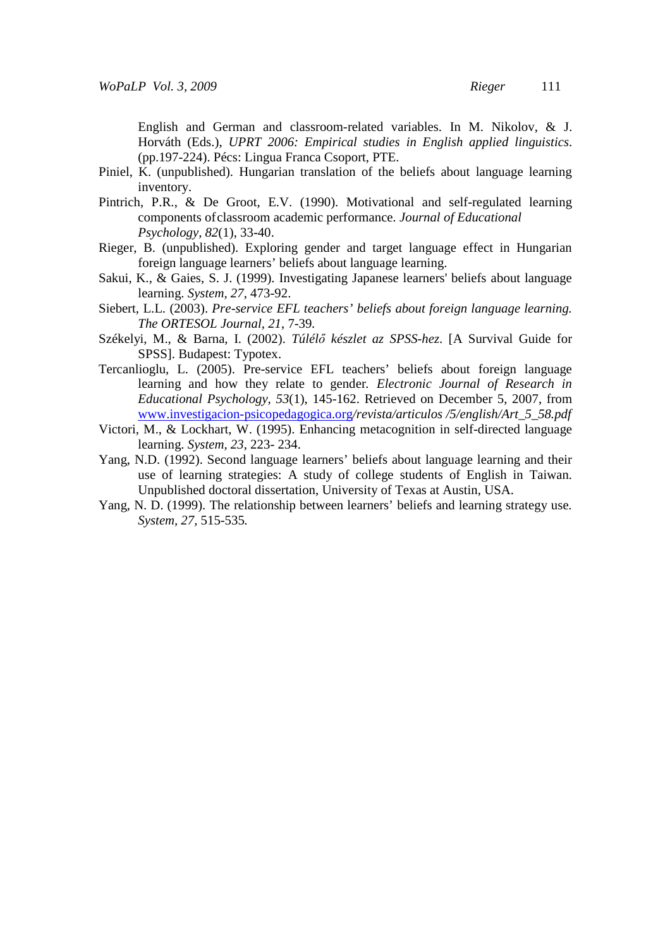English and German and classroom-related variables. In M. Nikolov, & J. Horváth (Eds.), *UPRT 2006: Empirical studies in English applied linguistics*. (pp.197-224). Pécs: Lingua Franca Csoport, PTE.

- Piniel, K. (unpublished). Hungarian translation of the beliefs about language learning inventory.
- Pintrich, P.R., & De Groot, E.V. (1990). Motivational and self-regulated learning components of classroom academic performance. *Journal of Educational Psychology, 82*(1), 33-40.
- Rieger, B. (unpublished). Exploring gender and target language effect in Hungarian foreign language learners' beliefs about language learning.
- Sakui, K., & Gaies, S. J. (1999). Investigating Japanese learners' beliefs about language learning. *System, 27*, 473-92.
- Siebert, L.L. (2003). *Pre-service EFL teachers' beliefs about foreign language learning. The ORTESOL Journal, 21*, 7-39*.*
- Székelyi, M., & Barna, I. (2002). *Túlélı készlet az SPSS-hez*. [A Survival Guide for SPSS]. Budapest: Typotex.
- Tercanlioglu, L. (2005). Pre-service EFL teachers' beliefs about foreign language learning and how they relate to gender*. Electronic Journal of Research in Educational Psychology, 53*(1), 145-162. Retrieved on December 5, 2007, from www.investigacion-psicopedagogica.org*/revista/articulos /5/english/Art\_5\_58.pdf*
- Victori, M., & Lockhart, W. (1995). Enhancing metacognition in self-directed language learning. *System, 23*, 223- 234.
- Yang, N.D. (1992). Second language learners' beliefs about language learning and their use of learning strategies: A study of college students of English in Taiwan. Unpublished doctoral dissertation, University of Texas at Austin, USA.
- Yang, N. D. (1999). The relationship between learners' beliefs and learning strategy use*. System, 27,* 515-535*.*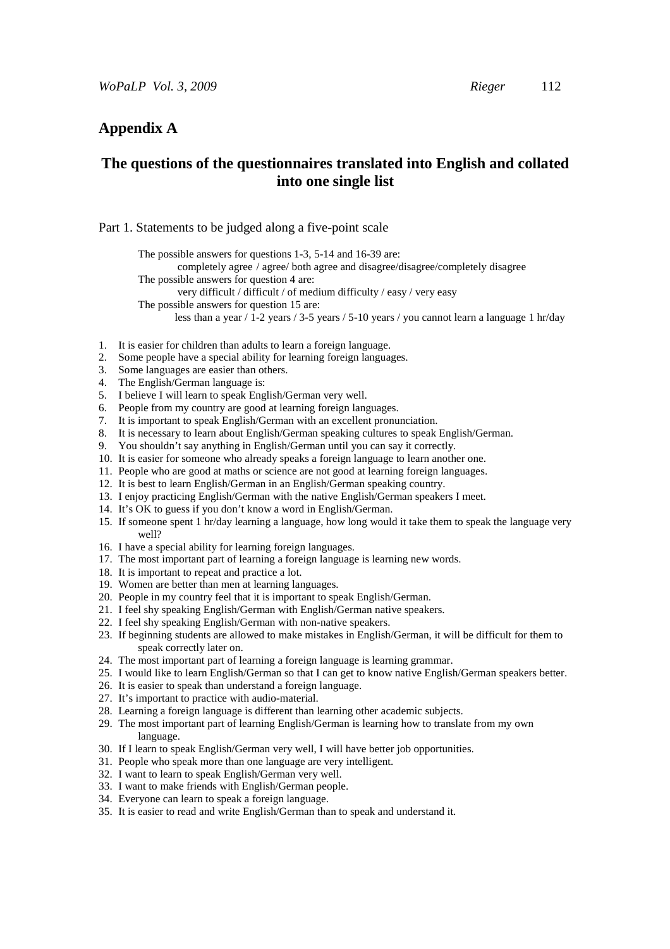# **Appendix A**

# **The questions of the questionnaires translated into English and collated into one single list**

#### Part 1. Statements to be judged along a five-point scale

The possible answers for questions 1-3, 5-14 and 16-39 are:

completely agree / agree/ both agree and disagree/disagree/completely disagree

The possible answers for question 4 are:

very difficult / difficult / of medium difficulty / easy / very easy

The possible answers for question 15 are:

- less than a year / 1-2 years / 3-5 years / 5-10 years / you cannot learn a language 1 hr/day
- 1. It is easier for children than adults to learn a foreign language.
- 2. Some people have a special ability for learning foreign languages.
- 3. Some languages are easier than others.
- 4. The English/German language is:
- 5. I believe I will learn to speak English/German very well.
- 6. People from my country are good at learning foreign languages.
- 7. It is important to speak English/German with an excellent pronunciation.
- 8. It is necessary to learn about English/German speaking cultures to speak English/German.
- 9. You shouldn't say anything in English/German until you can say it correctly.
- 10. It is easier for someone who already speaks a foreign language to learn another one.
- 11. People who are good at maths or science are not good at learning foreign languages.
- 12. It is best to learn English/German in an English/German speaking country.
- 13. I enjoy practicing English/German with the native English/German speakers I meet.
- 14. It's OK to guess if you don't know a word in English/German.
- 15. If someone spent 1 hr/day learning a language, how long would it take them to speak the language very well?
- 16. I have a special ability for learning foreign languages.
- 17. The most important part of learning a foreign language is learning new words.
- 18. It is important to repeat and practice a lot.
- 19. Women are better than men at learning languages.
- 20. People in my country feel that it is important to speak English/German.
- 21. I feel shy speaking English/German with English/German native speakers.
- 22. I feel shy speaking English/German with non-native speakers.
- 23. If beginning students are allowed to make mistakes in English/German, it will be difficult for them to speak correctly later on.
- 24. The most important part of learning a foreign language is learning grammar.
- 25. I would like to learn English/German so that I can get to know native English/German speakers better.
- 26. It is easier to speak than understand a foreign language.
- 27. It's important to practice with audio-material.
- 28. Learning a foreign language is different than learning other academic subjects.
- 29. The most important part of learning English/German is learning how to translate from my own language.
- 30. If I learn to speak English/German very well, I will have better job opportunities.
- 31. People who speak more than one language are very intelligent.
- 32. I want to learn to speak English/German very well.
- 33. I want to make friends with English/German people.
- 34. Everyone can learn to speak a foreign language.
- 35. It is easier to read and write English/German than to speak and understand it.